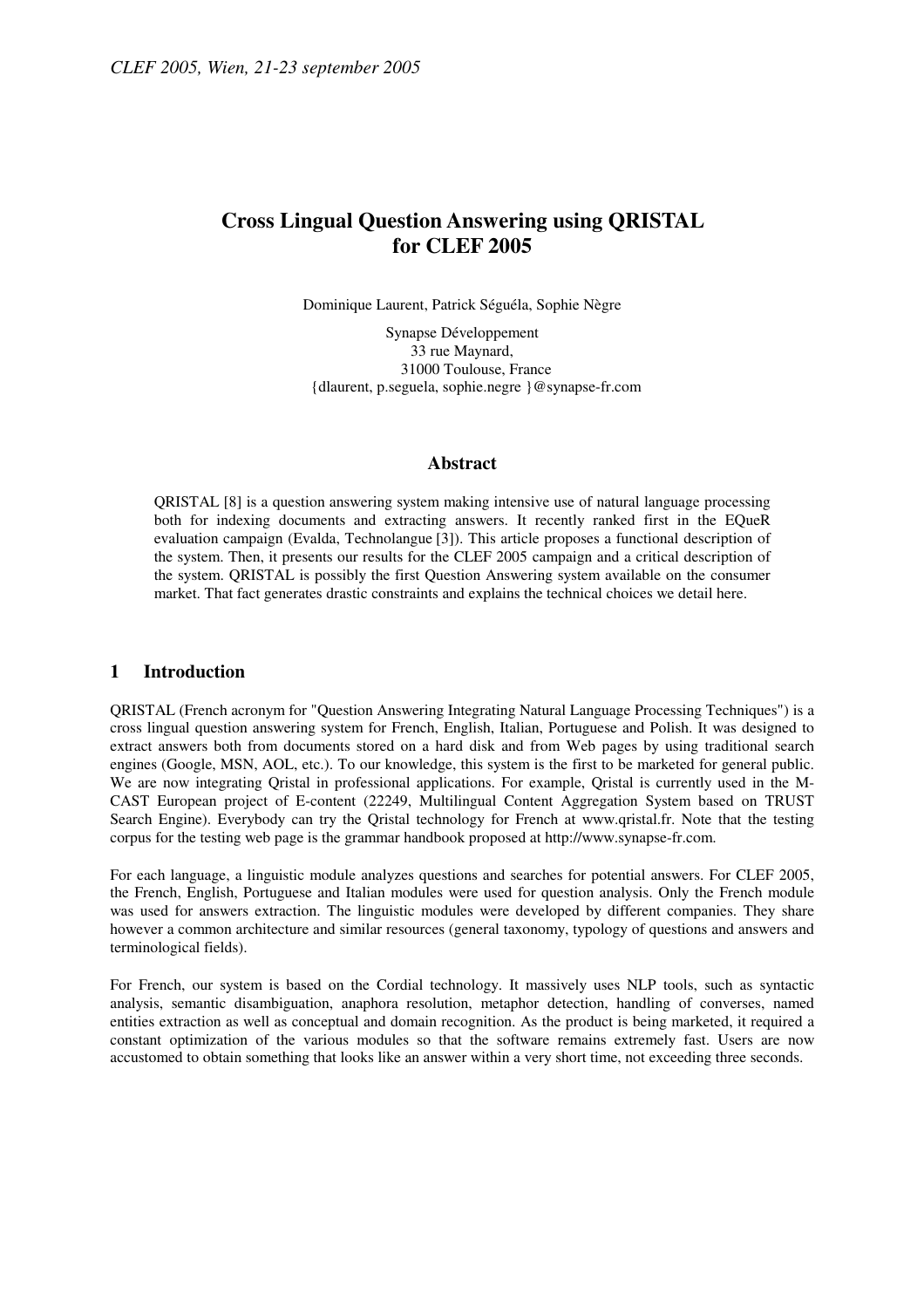# **Cross Lingual Question Answering using QRISTAL for CLEF 2005**

Dominique Laurent, Patrick Séguéla, Sophie Nègre

Synapse Développement 33 rue Maynard, 31000 Toulouse, France {dlaurent, p.seguela, sophie.negre }@synapse-fr.com

#### **Abstract**

QRISTAL [8] is a question answering system making intensive use of natural language processing both for indexing documents and extracting answers. It recently ranked first in the EQueR evaluation campaign (Evalda, Technolangue [3]). This article proposes a functional description of the system. Then, it presents our results for the CLEF 2005 campaign and a critical description of the system. QRISTAL is possibly the first Question Answering system available on the consumer market. That fact generates drastic constraints and explains the technical choices we detail here.

#### **1 Introduction**

QRISTAL (French acronym for "Question Answering Integrating Natural Language Processing Techniques") is a cross lingual question answering system for French, English, Italian, Portuguese and Polish. It was designed to extract answers both from documents stored on a hard disk and from Web pages by using traditional search engines (Google, MSN, AOL, etc.). To our knowledge, this system is the first to be marketed for general public. We are now integrating Qristal in professional applications. For example, Qristal is currently used in the M-CAST European project of E-content (22249, Multilingual Content Aggregation System based on TRUST Search Engine). Everybody can try the Qristal technology for French at www.qristal.fr. Note that the testing corpus for the testing web page is the grammar handbook proposed at http://www.synapse-fr.com.

For each language, a linguistic module analyzes questions and searches for potential answers. For CLEF 2005, the French, English, Portuguese and Italian modules were used for question analysis. Only the French module was used for answers extraction. The linguistic modules were developed by different companies. They share however a common architecture and similar resources (general taxonomy, typology of questions and answers and terminological fields).

For French, our system is based on the Cordial technology. It massively uses NLP tools, such as syntactic analysis, semantic disambiguation, anaphora resolution, metaphor detection, handling of converses, named entities extraction as well as conceptual and domain recognition. As the product is being marketed, it required a constant optimization of the various modules so that the software remains extremely fast. Users are now accustomed to obtain something that looks like an answer within a very short time, not exceeding three seconds.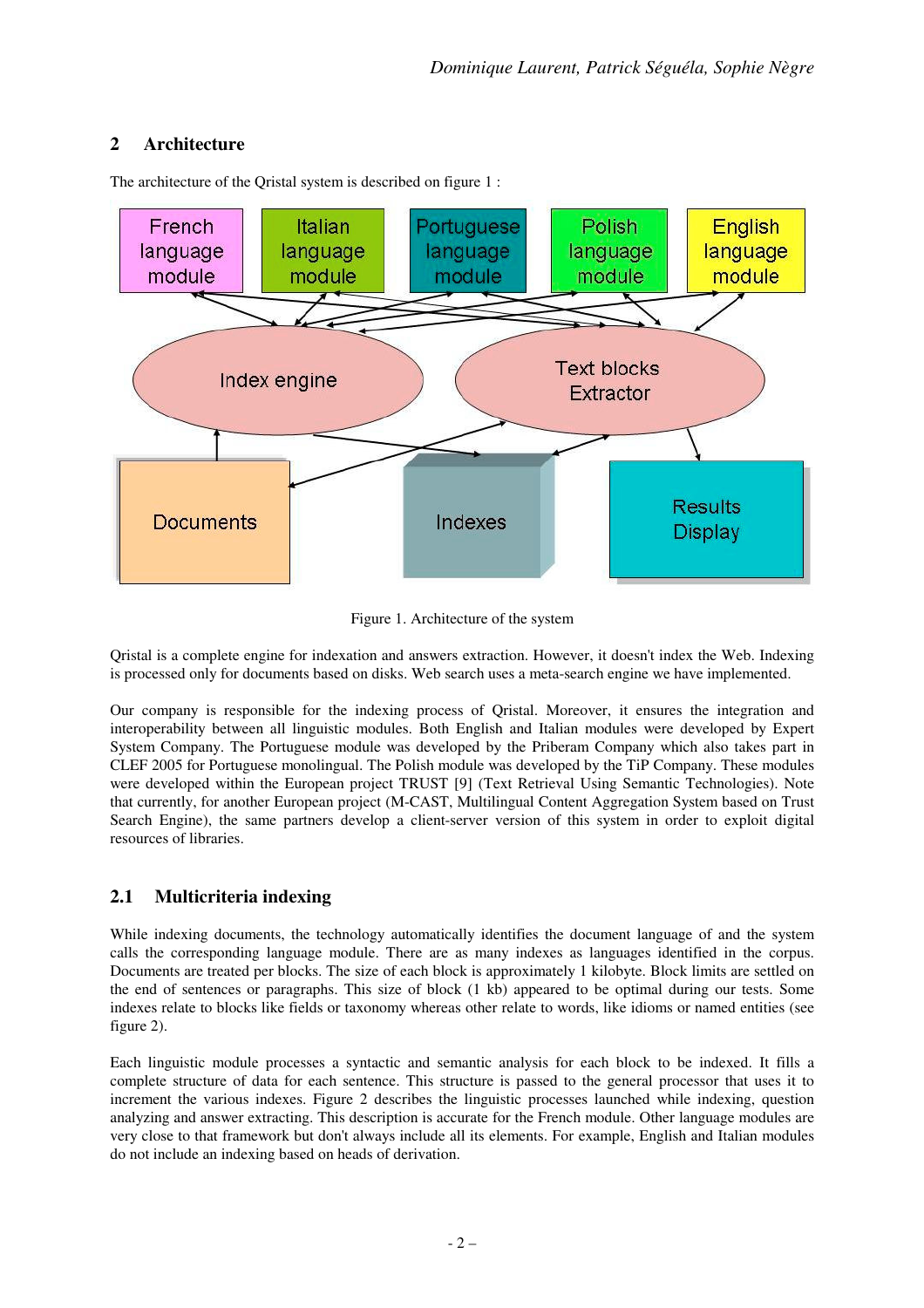# **2 Architecture**



The architecture of the Qristal system is described on figure 1 :

Figure 1. Architecture of the system

Qristal is a complete engine for indexation and answers extraction. However, it doesn't index the Web. Indexing is processed only for documents based on disks. Web search uses a meta-search engine we have implemented.

Our company is responsible for the indexing process of Qristal. Moreover, it ensures the integration and interoperability between all linguistic modules. Both English and Italian modules were developed by Expert System Company. The Portuguese module was developed by the Priberam Company which also takes part in CLEF 2005 for Portuguese monolingual. The Polish module was developed by the TiP Company. These modules were developed within the European project TRUST [9] (Text Retrieval Using Semantic Technologies). Note that currently, for another European project (M-CAST, Multilingual Content Aggregation System based on Trust Search Engine), the same partners develop a client-server version of this system in order to exploit digital resources of libraries.

# **2.1 Multicriteria indexing**

While indexing documents, the technology automatically identifies the document language of and the system calls the corresponding language module. There are as many indexes as languages identified in the corpus. Documents are treated per blocks. The size of each block is approximately 1 kilobyte. Block limits are settled on the end of sentences or paragraphs. This size of block (1 kb) appeared to be optimal during our tests. Some indexes relate to blocks like fields or taxonomy whereas other relate to words, like idioms or named entities (see figure 2).

Each linguistic module processes a syntactic and semantic analysis for each block to be indexed. It fills a complete structure of data for each sentence. This structure is passed to the general processor that uses it to increment the various indexes. Figure 2 describes the linguistic processes launched while indexing, question analyzing and answer extracting. This description is accurate for the French module. Other language modules are very close to that framework but don't always include all its elements. For example, English and Italian modules do not include an indexing based on heads of derivation.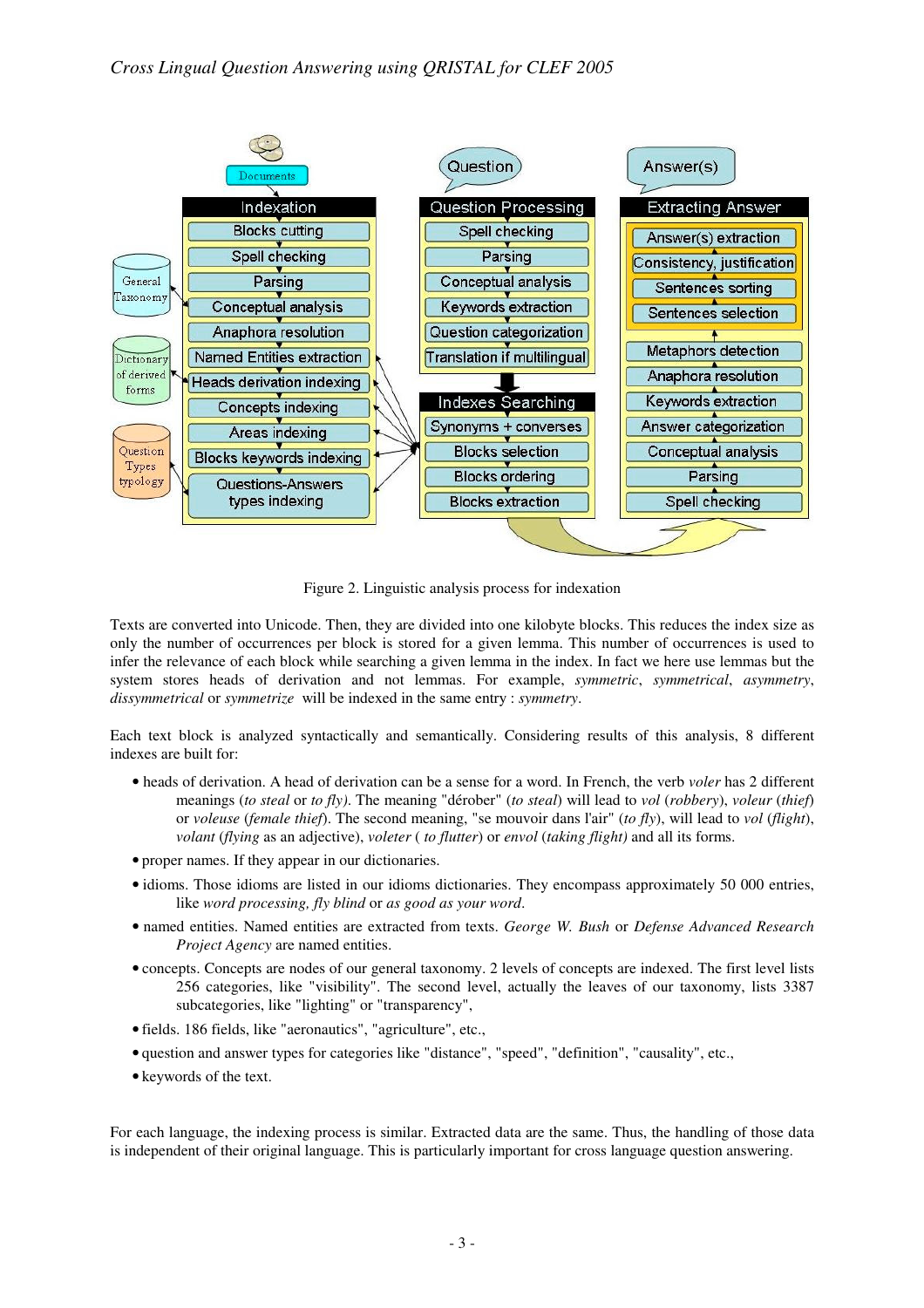

Figure 2. Linguistic analysis process for indexation

Texts are converted into Unicode. Then, they are divided into one kilobyte blocks. This reduces the index size as only the number of occurrences per block is stored for a given lemma. This number of occurrences is used to infer the relevance of each block while searching a given lemma in the index. In fact we here use lemmas but the system stores heads of derivation and not lemmas. For example, *symmetric*, *symmetrical*, *asymmetry*, *dissymmetrical* or *symmetrize* will be indexed in the same entry : *symmetry*.

Each text block is analyzed syntactically and semantically. Considering results of this analysis, 8 different indexes are built for:

- heads of derivation. A head of derivation can be a sense for a word. In French, the verb *voler* has 2 different meanings (*to steal* or *to fly)*. The meaning "dérober" (*to steal*) will lead to *vol* (*robbery*), *voleur* (*thief*) or *voleuse* (*female thief*). The second meaning, "se mouvoir dans l'air" (*to fly*), will lead to *vol* (*flight*), *volant* (*flying* as an adjective), *voleter* ( *to flutter*) or *envol* (*taking flight)* and all its forms.
- proper names. If they appear in our dictionaries.
- idioms. Those idioms are listed in our idioms dictionaries. They encompass approximately 50 000 entries, like *word processing, fly blind* or *as good as your word*.
- named entities. Named entities are extracted from texts. *George W. Bush* or *Defense Advanced Research Project Agency* are named entities.
- concepts. Concepts are nodes of our general taxonomy. 2 levels of concepts are indexed. The first level lists 256 categories, like "visibility". The second level, actually the leaves of our taxonomy, lists 3387 subcategories, like "lighting" or "transparency",
- fields. 186 fields, like "aeronautics", "agriculture", etc.,
- question and answer types for categories like "distance", "speed", "definition", "causality", etc.,
- keywords of the text.

For each language, the indexing process is similar. Extracted data are the same. Thus, the handling of those data is independent of their original language. This is particularly important for cross language question answering.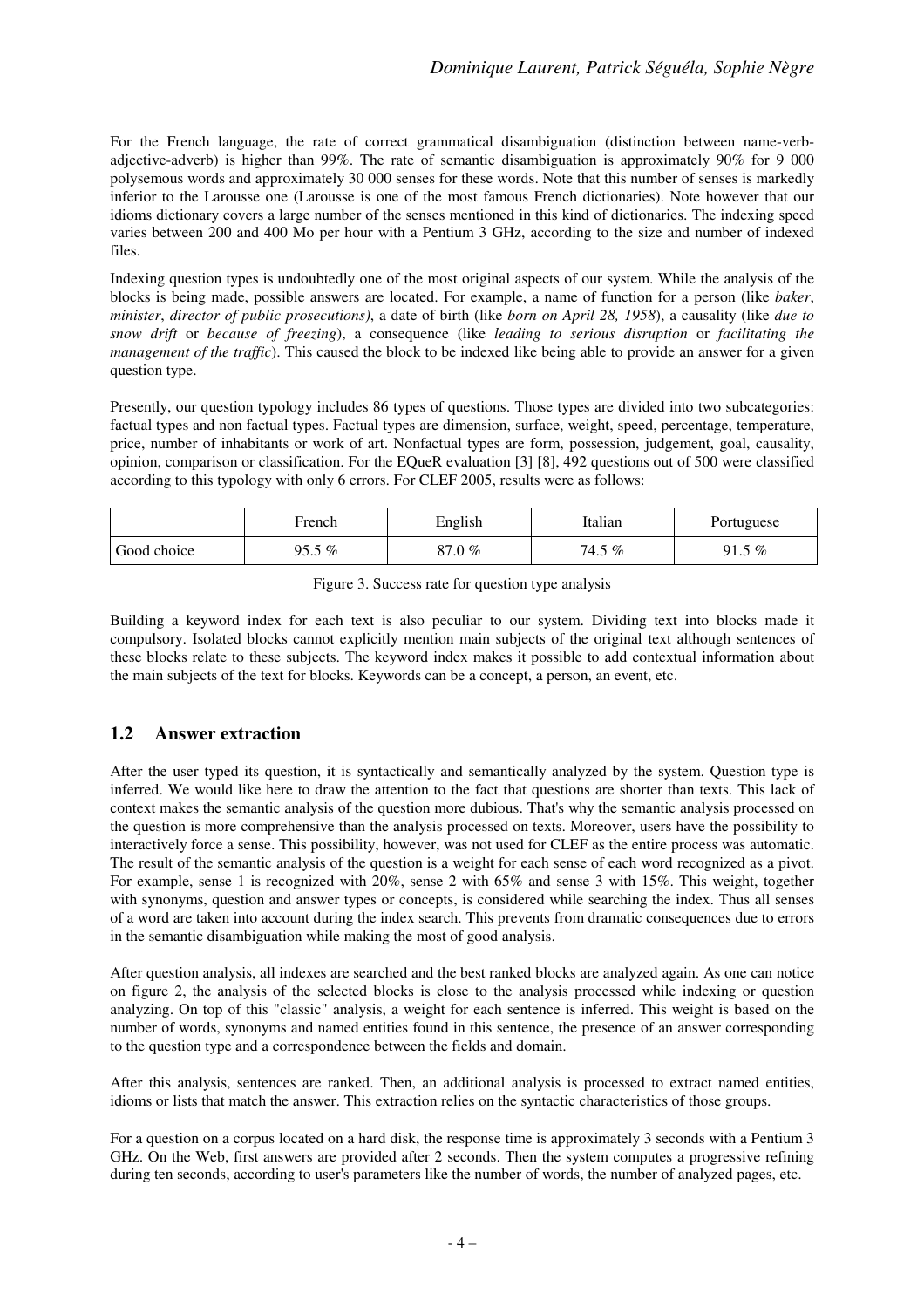For the French language, the rate of correct grammatical disambiguation (distinction between name-verbadjective-adverb) is higher than 99%. The rate of semantic disambiguation is approximately 90% for 9 000 polysemous words and approximately 30 000 senses for these words. Note that this number of senses is markedly inferior to the Larousse one (Larousse is one of the most famous French dictionaries). Note however that our idioms dictionary covers a large number of the senses mentioned in this kind of dictionaries. The indexing speed varies between 200 and 400 Mo per hour with a Pentium 3 GHz, according to the size and number of indexed files.

Indexing question types is undoubtedly one of the most original aspects of our system. While the analysis of the blocks is being made, possible answers are located. For example, a name of function for a person (like *baker*, *minister*, *director of public prosecutions)*, a date of birth (like *born on April 28, 1958*), a causality (like *due to snow drift* or *because of freezing*), a consequence (like *leading to serious disruption* or *facilitating the management of the traffic*). This caused the block to be indexed like being able to provide an answer for a given question type.

Presently, our question typology includes 86 types of questions. Those types are divided into two subcategories: factual types and non factual types. Factual types are dimension, surface, weight, speed, percentage, temperature, price, number of inhabitants or work of art. Nonfactual types are form, possession, judgement, goal, causality, opinion, comparison or classification. For the EQueR evaluation [3] [8], 492 questions out of 500 were classified according to this typology with only 6 errors. For CLEF 2005, results were as follows:

|             | French | English | Italian     | Portuguese  |
|-------------|--------|---------|-------------|-------------|
| Good choice | 95.5 % | 87.0 %  | 5 %<br>74.5 | 5 %<br>91.5 |

Building a keyword index for each text is also peculiar to our system. Dividing text into blocks made it compulsory. Isolated blocks cannot explicitly mention main subjects of the original text although sentences of these blocks relate to these subjects. The keyword index makes it possible to add contextual information about the main subjects of the text for blocks. Keywords can be a concept, a person, an event, etc.

### **1.2 Answer extraction**

After the user typed its question, it is syntactically and semantically analyzed by the system. Question type is inferred. We would like here to draw the attention to the fact that questions are shorter than texts. This lack of context makes the semantic analysis of the question more dubious. That's why the semantic analysis processed on the question is more comprehensive than the analysis processed on texts. Moreover, users have the possibility to interactively force a sense. This possibility, however, was not used for CLEF as the entire process was automatic. The result of the semantic analysis of the question is a weight for each sense of each word recognized as a pivot. For example, sense 1 is recognized with 20%, sense 2 with 65% and sense 3 with 15%. This weight, together with synonyms, question and answer types or concepts, is considered while searching the index. Thus all senses of a word are taken into account during the index search. This prevents from dramatic consequences due to errors in the semantic disambiguation while making the most of good analysis.

After question analysis, all indexes are searched and the best ranked blocks are analyzed again. As one can notice on figure 2, the analysis of the selected blocks is close to the analysis processed while indexing or question analyzing. On top of this "classic" analysis, a weight for each sentence is inferred. This weight is based on the number of words, synonyms and named entities found in this sentence, the presence of an answer corresponding to the question type and a correspondence between the fields and domain.

After this analysis, sentences are ranked. Then, an additional analysis is processed to extract named entities, idioms or lists that match the answer. This extraction relies on the syntactic characteristics of those groups.

For a question on a corpus located on a hard disk, the response time is approximately 3 seconds with a Pentium 3 GHz. On the Web, first answers are provided after 2 seconds. Then the system computes a progressive refining during ten seconds, according to user's parameters like the number of words, the number of analyzed pages, etc.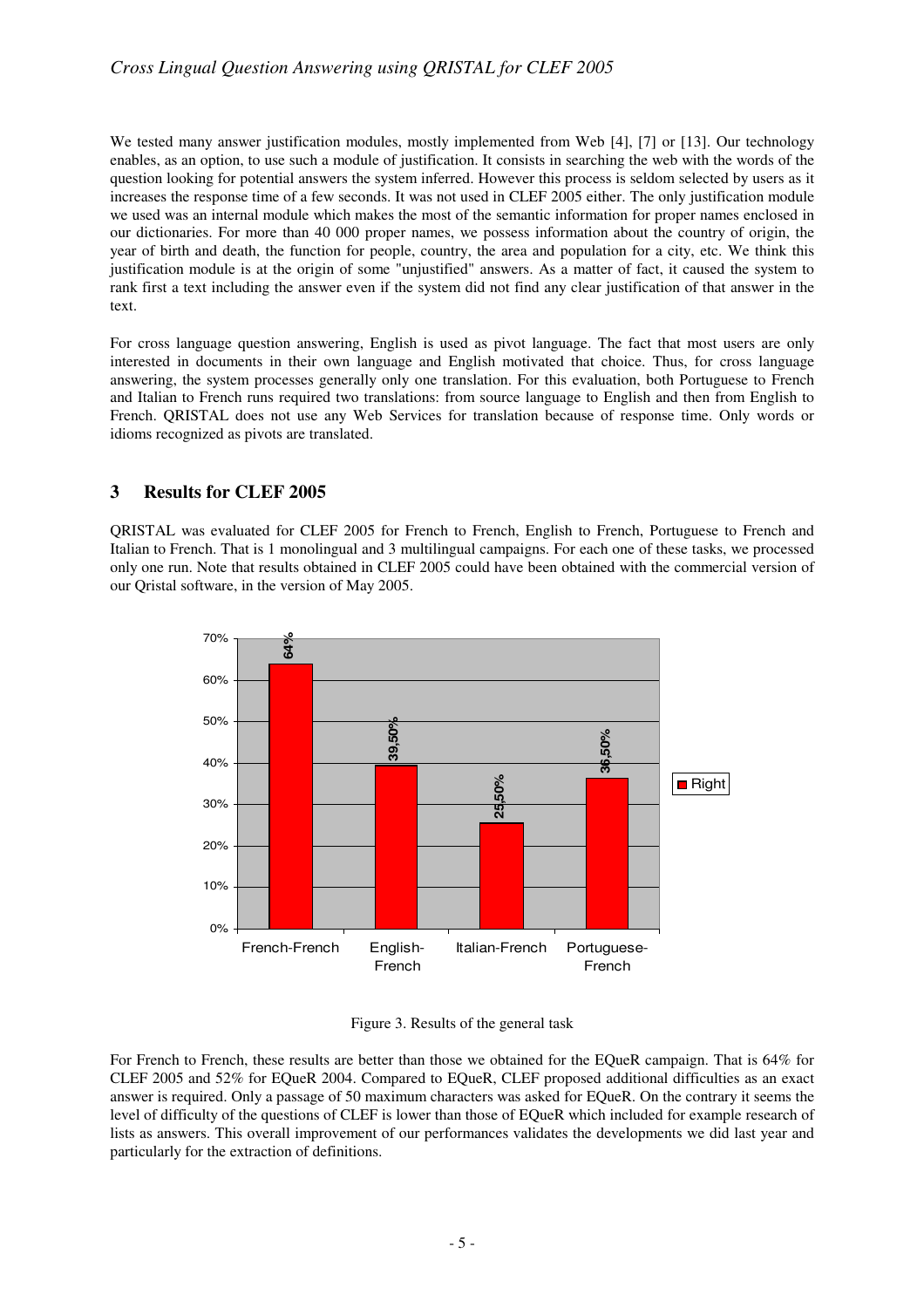### *Cross Lingual Question Answering using QRISTAL for CLEF 2005*

We tested many answer justification modules, mostly implemented from Web [4], [7] or [13]. Our technology enables, as an option, to use such a module of justification. It consists in searching the web with the words of the question looking for potential answers the system inferred. However this process is seldom selected by users as it increases the response time of a few seconds. It was not used in CLEF 2005 either. The only justification module we used was an internal module which makes the most of the semantic information for proper names enclosed in our dictionaries. For more than 40 000 proper names, we possess information about the country of origin, the year of birth and death, the function for people, country, the area and population for a city, etc. We think this justification module is at the origin of some "unjustified" answers. As a matter of fact, it caused the system to rank first a text including the answer even if the system did not find any clear justification of that answer in the text.

For cross language question answering, English is used as pivot language. The fact that most users are only interested in documents in their own language and English motivated that choice. Thus, for cross language answering, the system processes generally only one translation. For this evaluation, both Portuguese to French and Italian to French runs required two translations: from source language to English and then from English to French. QRISTAL does not use any Web Services for translation because of response time. Only words or idioms recognized as pivots are translated.

### **3 Results for CLEF 2005**

QRISTAL was evaluated for CLEF 2005 for French to French, English to French, Portuguese to French and Italian to French. That is 1 monolingual and 3 multilingual campaigns. For each one of these tasks, we processed only one run. Note that results obtained in CLEF 2005 could have been obtained with the commercial version of our Qristal software, in the version of May 2005.



Figure 3. Results of the general task

For French to French, these results are better than those we obtained for the EQueR campaign. That is 64% for CLEF 2005 and 52% for EQueR 2004. Compared to EQueR, CLEF proposed additional difficulties as an exact answer is required. Only a passage of 50 maximum characters was asked for EQueR. On the contrary it seems the level of difficulty of the questions of CLEF is lower than those of EQueR which included for example research of lists as answers. This overall improvement of our performances validates the developments we did last year and particularly for the extraction of definitions.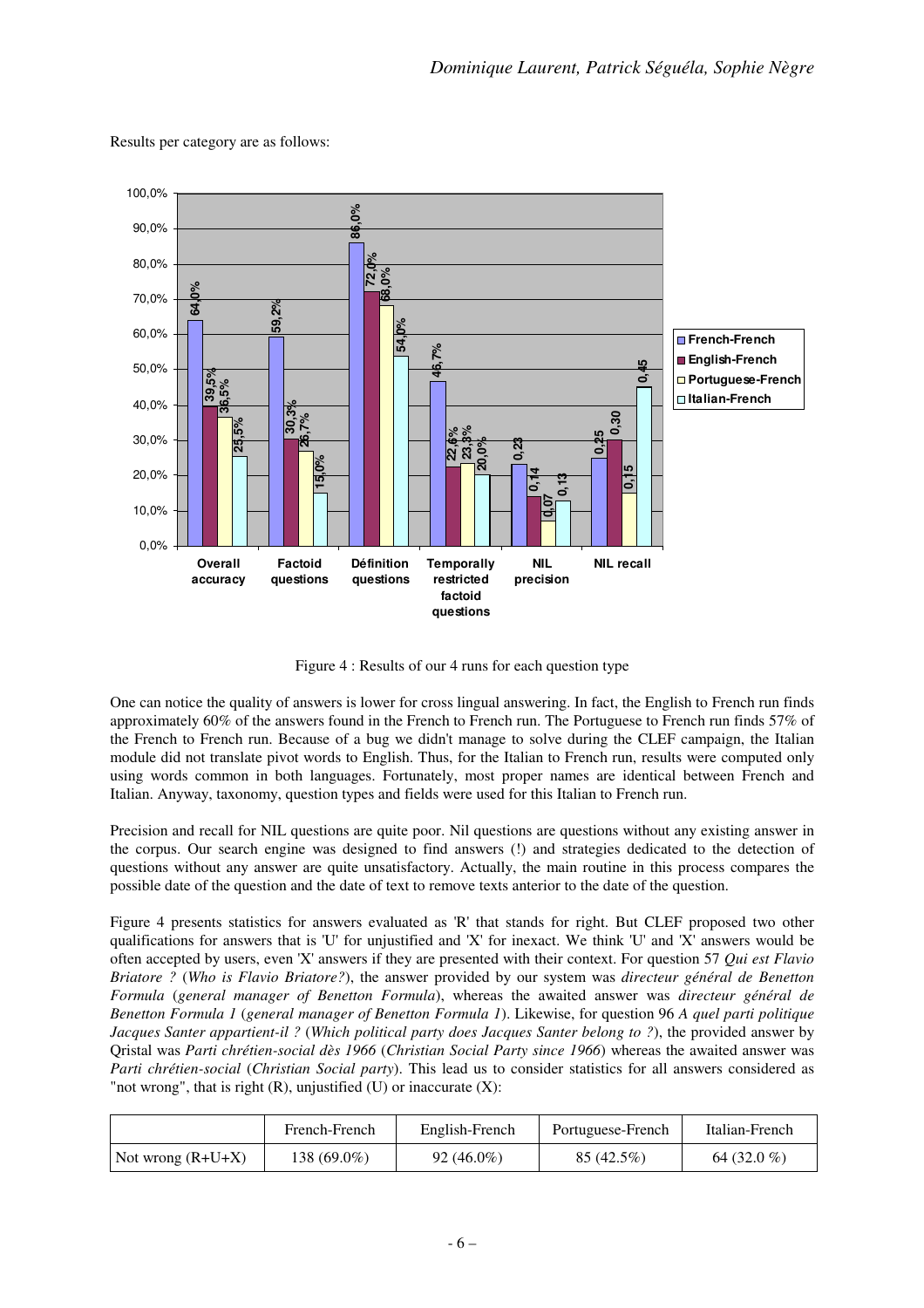

Results per category are as follows:

Figure 4 : Results of our 4 runs for each question type

One can notice the quality of answers is lower for cross lingual answering. In fact, the English to French run finds approximately 60% of the answers found in the French to French run. The Portuguese to French run finds 57% of the French to French run. Because of a bug we didn't manage to solve during the CLEF campaign, the Italian module did not translate pivot words to English. Thus, for the Italian to French run, results were computed only using words common in both languages. Fortunately, most proper names are identical between French and Italian. Anyway, taxonomy, question types and fields were used for this Italian to French run.

Precision and recall for NIL questions are quite poor. Nil questions are questions without any existing answer in the corpus. Our search engine was designed to find answers (!) and strategies dedicated to the detection of questions without any answer are quite unsatisfactory. Actually, the main routine in this process compares the possible date of the question and the date of text to remove texts anterior to the date of the question.

Figure 4 presents statistics for answers evaluated as 'R' that stands for right. But CLEF proposed two other qualifications for answers that is 'U' for unjustified and 'X' for inexact. We think 'U' and 'X' answers would be often accepted by users, even 'X' answers if they are presented with their context. For question 57 *Qui est Flavio Briatore ?* (*Who is Flavio Briatore?*), the answer provided by our system was *directeur général de Benetton Formula* (*general manager of Benetton Formula*), whereas the awaited answer was *directeur général de Benetton Formula 1* (*general manager of Benetton Formula 1*). Likewise, for question 96 *A quel parti politique Jacques Santer appartient-il ?* (*Which political party does Jacques Santer belong to ?*), the provided answer by Qristal was *Parti chrétien-social dès 1966* (*Christian Social Party since 1966*) whereas the awaited answer was *Parti chrétien-social* (*Christian Social party*). This lead us to consider statistics for all answers considered as "not wrong", that is right  $(R)$ , unjustified  $(U)$  or inaccurate  $(X)$ :

|                     | French-French | English-French | Portuguese-French | Italian-French |
|---------------------|---------------|----------------|-------------------|----------------|
| Not wrong $(R+U+X)$ | 138 (69.0%)   | $92(46.0\%)$   | 85 (42.5%)        | 64 $(32.0\%$   |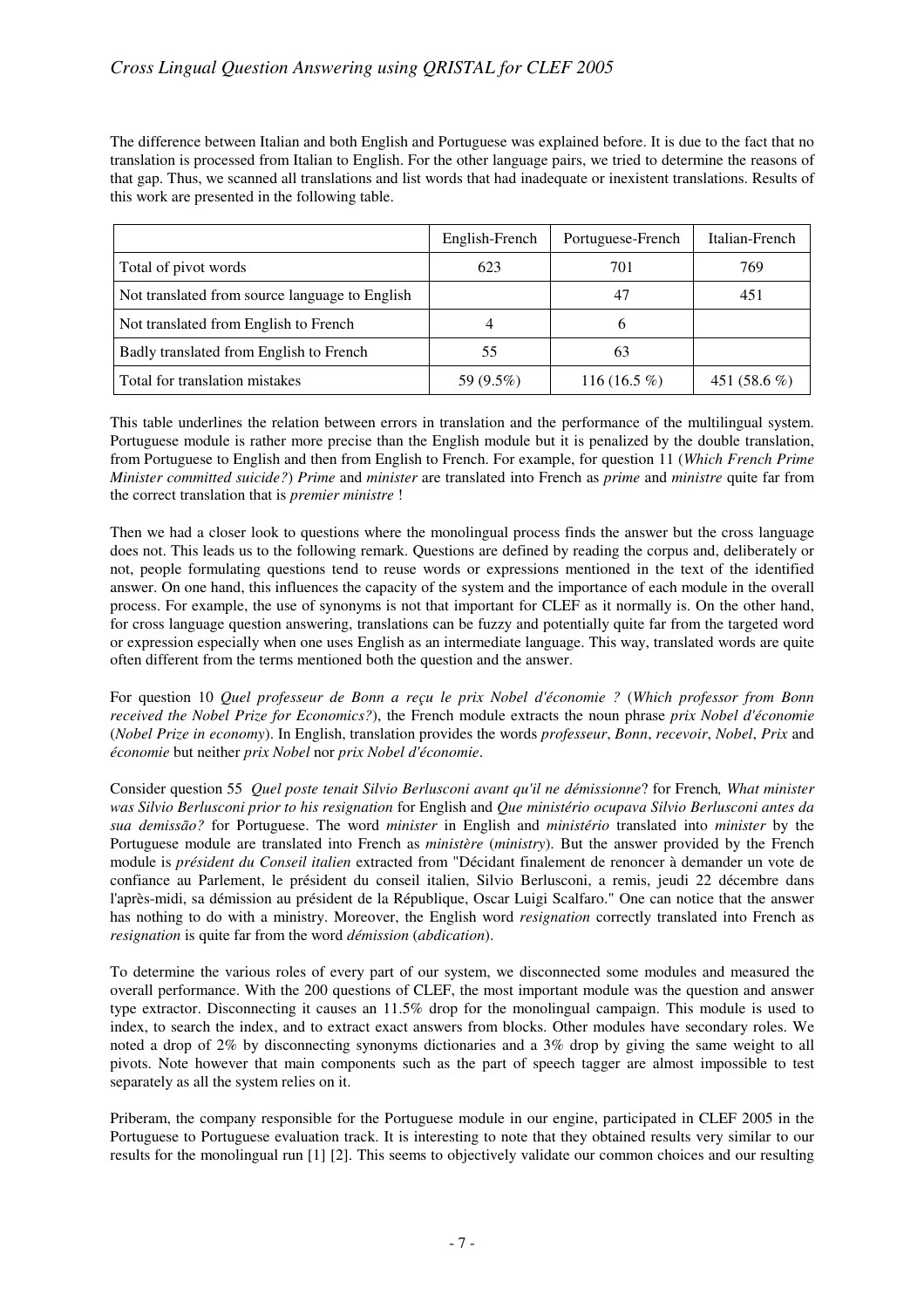The difference between Italian and both English and Portuguese was explained before. It is due to the fact that no translation is processed from Italian to English. For the other language pairs, we tried to determine the reasons of that gap. Thus, we scanned all translations and list words that had inadequate or inexistent translations. Results of this work are presented in the following table.

|                                                | English-French | Portuguese-French | Italian-French |
|------------------------------------------------|----------------|-------------------|----------------|
| Total of pivot words                           | 623            | 701               | 769            |
| Not translated from source language to English |                | 47                | 451            |
| Not translated from English to French          |                | b                 |                |
| Badly translated from English to French        | 55             | 63                |                |
| Total for translation mistakes                 | 59 (9.5%)      | 116 (16.5 $%$ )   | 451 $(58.6\%)$ |

This table underlines the relation between errors in translation and the performance of the multilingual system. Portuguese module is rather more precise than the English module but it is penalized by the double translation, from Portuguese to English and then from English to French. For example, for question 11 (*Which French Prime Minister committed suicide?*) *Prime* and *minister* are translated into French as *prime* and *ministre* quite far from the correct translation that is *premier ministre* !

Then we had a closer look to questions where the monolingual process finds the answer but the cross language does not. This leads us to the following remark. Questions are defined by reading the corpus and, deliberately or not, people formulating questions tend to reuse words or expressions mentioned in the text of the identified answer. On one hand, this influences the capacity of the system and the importance of each module in the overall process. For example, the use of synonyms is not that important for CLEF as it normally is. On the other hand, for cross language question answering, translations can be fuzzy and potentially quite far from the targeted word or expression especially when one uses English as an intermediate language. This way, translated words are quite often different from the terms mentioned both the question and the answer.

For question 10 *Quel professeur de Bonn a reçu le prix Nobel d'économie ?* (*Which professor from Bonn received the Nobel Prize for Economics?*), the French module extracts the noun phrase *prix Nobel d'économie* (*Nobel Prize in economy*). In English, translation provides the words *professeur*, *Bonn*, *recevoir*, *Nobel*, *Prix* and *économie* but neither *prix Nobel* nor *prix Nobel d'économie*.

Consider question 55 *Quel poste tenait Silvio Berlusconi avant qu'il ne démissionne*? for French*, What minister was Silvio Berlusconi prior to his resignation* for English and *Que ministério ocupava Silvio Berlusconi antes da sua demissão?* for Portuguese. The word *minister* in English and *ministério* translated into *minister* by the Portuguese module are translated into French as *ministère* (*ministry*). But the answer provided by the French module is *président du Conseil italien* extracted from "Décidant finalement de renoncer à demander un vote de confiance au Parlement, le président du conseil italien, Silvio Berlusconi, a remis, jeudi 22 décembre dans l'après-midi, sa démission au président de la République, Oscar Luigi Scalfaro." One can notice that the answer has nothing to do with a ministry. Moreover, the English word *resignation* correctly translated into French as *resignation* is quite far from the word *démission* (*abdication*).

To determine the various roles of every part of our system, we disconnected some modules and measured the overall performance. With the 200 questions of CLEF, the most important module was the question and answer type extractor. Disconnecting it causes an 11.5% drop for the monolingual campaign. This module is used to index, to search the index, and to extract exact answers from blocks. Other modules have secondary roles. We noted a drop of 2% by disconnecting synonyms dictionaries and a 3% drop by giving the same weight to all pivots. Note however that main components such as the part of speech tagger are almost impossible to test separately as all the system relies on it.

Priberam, the company responsible for the Portuguese module in our engine, participated in CLEF 2005 in the Portuguese to Portuguese evaluation track. It is interesting to note that they obtained results very similar to our results for the monolingual run [1] [2]. This seems to objectively validate our common choices and our resulting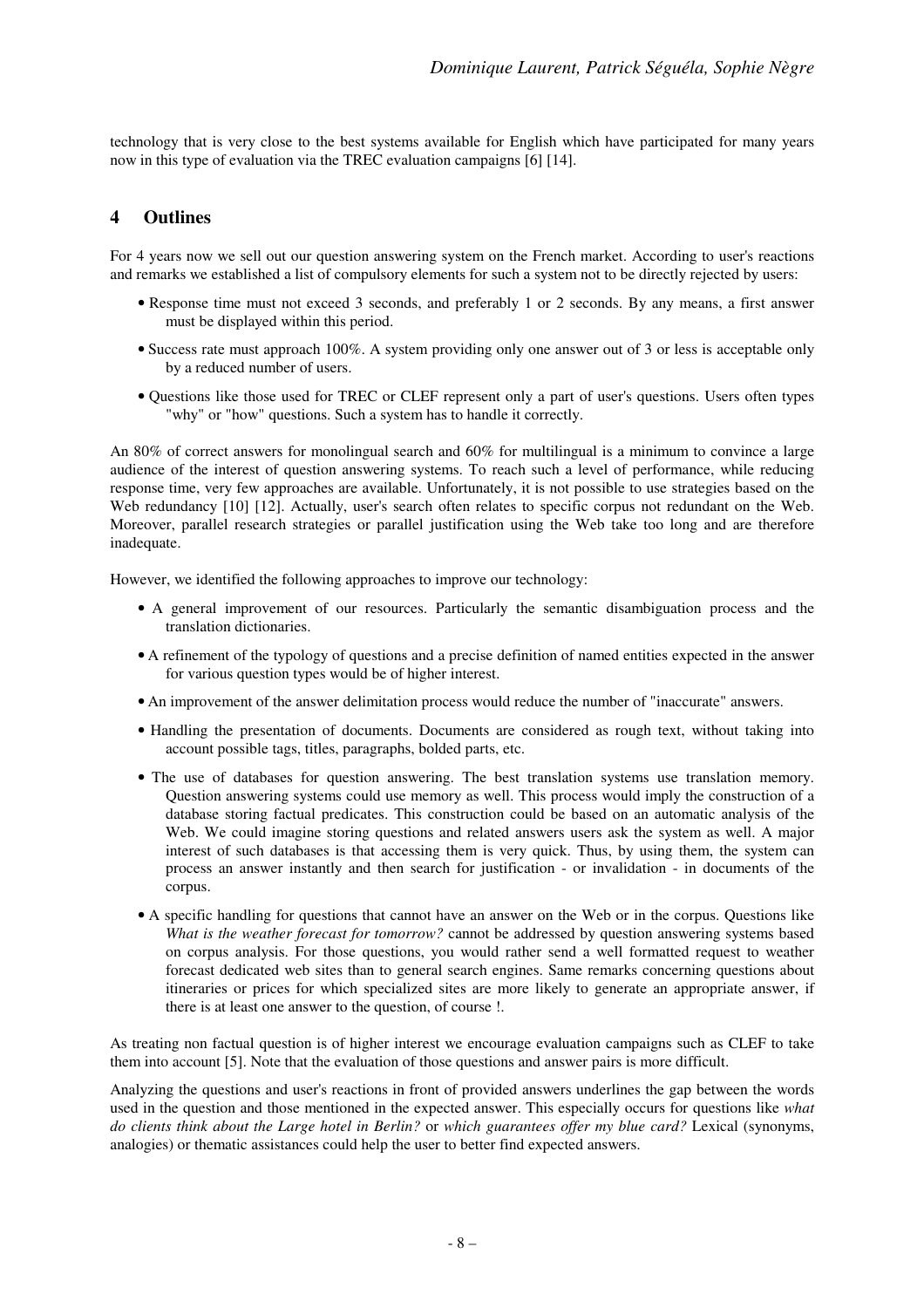technology that is very close to the best systems available for English which have participated for many years now in this type of evaluation via the TREC evaluation campaigns [6] [14].

### **4 Outlines**

For 4 years now we sell out our question answering system on the French market. According to user's reactions and remarks we established a list of compulsory elements for such a system not to be directly rejected by users:

- Response time must not exceed 3 seconds, and preferably 1 or 2 seconds. By any means, a first answer must be displayed within this period.
- Success rate must approach 100%. A system providing only one answer out of 3 or less is acceptable only by a reduced number of users.
- Questions like those used for TREC or CLEF represent only a part of user's questions. Users often types "why" or "how" questions. Such a system has to handle it correctly.

An 80% of correct answers for monolingual search and 60% for multilingual is a minimum to convince a large audience of the interest of question answering systems. To reach such a level of performance, while reducing response time, very few approaches are available. Unfortunately, it is not possible to use strategies based on the Web redundancy [10] [12]. Actually, user's search often relates to specific corpus not redundant on the Web. Moreover, parallel research strategies or parallel justification using the Web take too long and are therefore inadequate.

However, we identified the following approaches to improve our technology:

- A general improvement of our resources. Particularly the semantic disambiguation process and the translation dictionaries.
- A refinement of the typology of questions and a precise definition of named entities expected in the answer for various question types would be of higher interest.
- An improvement of the answer delimitation process would reduce the number of "inaccurate" answers.
- Handling the presentation of documents. Documents are considered as rough text, without taking into account possible tags, titles, paragraphs, bolded parts, etc.
- The use of databases for question answering. The best translation systems use translation memory. Question answering systems could use memory as well. This process would imply the construction of a database storing factual predicates. This construction could be based on an automatic analysis of the Web. We could imagine storing questions and related answers users ask the system as well. A major interest of such databases is that accessing them is very quick. Thus, by using them, the system can process an answer instantly and then search for justification - or invalidation - in documents of the corpus.
- A specific handling for questions that cannot have an answer on the Web or in the corpus. Questions like *What is the weather forecast for tomorrow?* cannot be addressed by question answering systems based on corpus analysis. For those questions, you would rather send a well formatted request to weather forecast dedicated web sites than to general search engines. Same remarks concerning questions about itineraries or prices for which specialized sites are more likely to generate an appropriate answer, if there is at least one answer to the question, of course !.

As treating non factual question is of higher interest we encourage evaluation campaigns such as CLEF to take them into account [5]. Note that the evaluation of those questions and answer pairs is more difficult.

Analyzing the questions and user's reactions in front of provided answers underlines the gap between the words used in the question and those mentioned in the expected answer. This especially occurs for questions like *what do clients think about the Large hotel in Berlin?* or *which guarantees offer my blue card?* Lexical (synonyms, analogies) or thematic assistances could help the user to better find expected answers.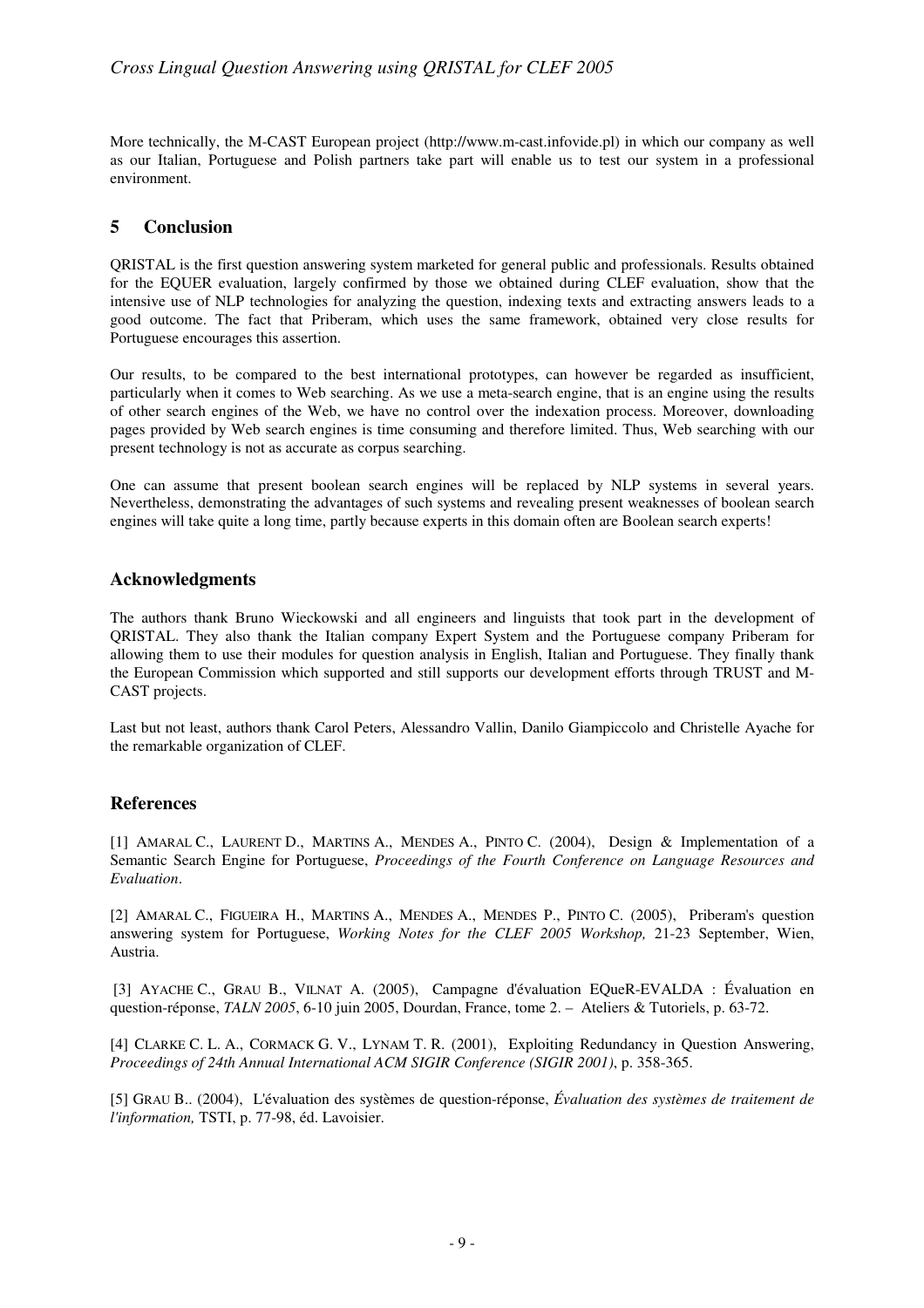More technically, the M-CAST European project (http://www.m-cast.infovide.pl) in which our company as well as our Italian, Portuguese and Polish partners take part will enable us to test our system in a professional environment.

## **5 Conclusion**

QRISTAL is the first question answering system marketed for general public and professionals. Results obtained for the EQUER evaluation, largely confirmed by those we obtained during CLEF evaluation, show that the intensive use of NLP technologies for analyzing the question, indexing texts and extracting answers leads to a good outcome. The fact that Priberam, which uses the same framework, obtained very close results for Portuguese encourages this assertion.

Our results, to be compared to the best international prototypes, can however be regarded as insufficient, particularly when it comes to Web searching. As we use a meta-search engine, that is an engine using the results of other search engines of the Web, we have no control over the indexation process. Moreover, downloading pages provided by Web search engines is time consuming and therefore limited. Thus, Web searching with our present technology is not as accurate as corpus searching.

One can assume that present boolean search engines will be replaced by NLP systems in several years. Nevertheless, demonstrating the advantages of such systems and revealing present weaknesses of boolean search engines will take quite a long time, partly because experts in this domain often are Boolean search experts!

#### **Acknowledgments**

The authors thank Bruno Wieckowski and all engineers and linguists that took part in the development of QRISTAL. They also thank the Italian company Expert System and the Portuguese company Priberam for allowing them to use their modules for question analysis in English, Italian and Portuguese. They finally thank the European Commission which supported and still supports our development efforts through TRUST and M-CAST projects.

Last but not least, authors thank Carol Peters, Alessandro Vallin, Danilo Giampiccolo and Christelle Ayache for the remarkable organization of CLEF.

#### **References**

[1] AMARAL C., LAURENT D., MARTINS A., MENDES A., PINTO C. (2004), Design & Implementation of a Semantic Search Engine for Portuguese, *Proceedings of the Fourth Conference on Language Resources and Evaluation*.

[2] AMARAL C., FIGUEIRA H., MARTINS A., MENDES A., MENDES P., PINTO C. (2005), Priberam's question answering system for Portuguese, *Working Notes for the CLEF 2005 Workshop,* 21-23 September, Wien, Austria.

[3] AYACHE C., GRAU B., VILNAT A. (2005), Campagne d'évaluation EQueR-EVALDA : Évaluation en question-réponse, *TALN 2005*, 6-10 juin 2005, Dourdan, France, tome 2. – Ateliers & Tutoriels, p. 63-72.

[4] CLARKE C. L. A., CORMACK G. V., LYNAM T. R. (2001), Exploiting Redundancy in Question Answering, *Proceedings of 24th Annual International ACM SIGIR Conference (SIGIR 2001)*, p. 358-365.

[5] GRAU B.. (2004), L'évaluation des systèmes de question-réponse, *Évaluation des systèmes de traitement de l'information,* TSTI, p. 77-98, éd. Lavoisier.